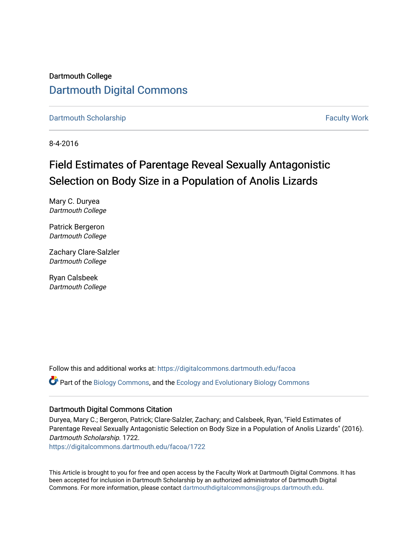## Dartmouth College [Dartmouth Digital Commons](https://digitalcommons.dartmouth.edu/)

[Dartmouth Scholarship](https://digitalcommons.dartmouth.edu/facoa) Faculty Work

8-4-2016

## Field Estimates of Parentage Reveal Sexually Antagonistic Selection on Body Size in a Population of Anolis Lizards

Mary C. Duryea Dartmouth College

Patrick Bergeron Dartmouth College

Zachary Clare-Salzler Dartmouth College

Ryan Calsbeek Dartmouth College

Follow this and additional works at: [https://digitalcommons.dartmouth.edu/facoa](https://digitalcommons.dartmouth.edu/facoa?utm_source=digitalcommons.dartmouth.edu%2Ffacoa%2F1722&utm_medium=PDF&utm_campaign=PDFCoverPages) Part of the [Biology Commons,](http://network.bepress.com/hgg/discipline/41?utm_source=digitalcommons.dartmouth.edu%2Ffacoa%2F1722&utm_medium=PDF&utm_campaign=PDFCoverPages) and the [Ecology and Evolutionary Biology Commons](http://network.bepress.com/hgg/discipline/14?utm_source=digitalcommons.dartmouth.edu%2Ffacoa%2F1722&utm_medium=PDF&utm_campaign=PDFCoverPages) 

## Dartmouth Digital Commons Citation

Duryea, Mary C.; Bergeron, Patrick; Clare-Salzler, Zachary; and Calsbeek, Ryan, "Field Estimates of Parentage Reveal Sexually Antagonistic Selection on Body Size in a Population of Anolis Lizards" (2016). Dartmouth Scholarship. 1722.

[https://digitalcommons.dartmouth.edu/facoa/1722](https://digitalcommons.dartmouth.edu/facoa/1722?utm_source=digitalcommons.dartmouth.edu%2Ffacoa%2F1722&utm_medium=PDF&utm_campaign=PDFCoverPages) 

This Article is brought to you for free and open access by the Faculty Work at Dartmouth Digital Commons. It has been accepted for inclusion in Dartmouth Scholarship by an authorized administrator of Dartmouth Digital Commons. For more information, please contact [dartmouthdigitalcommons@groups.dartmouth.edu](mailto:dartmouthdigitalcommons@groups.dartmouth.edu).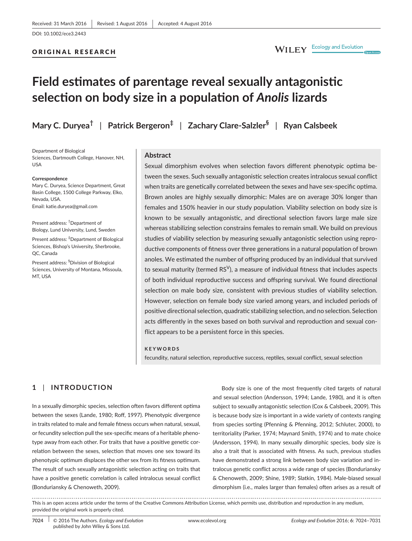#### ORIGINAL RESEARCH

# **Field estimates of parentage reveal sexually antagonistic selection on body size in a population of** *Anolis* **lizards**

**Mary C. Duryea†** | **Patrick Bergeron‡** | **Zachary Clare-Salzler§** | **Ryan Calsbeek**

Department of Biological Sciences, Dartmouth College, Hanover, NH, USA

#### **Correspondence**

Mary C. Duryea, Science Department, Great Basin College, 1500 College Parkway, Elko, Nevada, USA. Email: [katie.duryea@gmail.com](mailto:katie.duryea@gmail.com)

Present address: <sup>†</sup>Department of Biology, Lund University, Lund, Sweden

Present address: ‡ Department of Biological Sciences, Bishop's University, Sherbrooke, QC, Canada

Present address: <sup>§</sup> Division of Biological Sciences, University of Montana, Missoula, MT, USA

#### **Abstract**

Sexual dimorphism evolves when selection favors different phenotypic optima between the sexes. Such sexually antagonistic selection creates intralocus sexual conflict when traits are genetically correlated between the sexes and have sex-specific optima. Brown anoles are highly sexually dimorphic: Males are on average 30% longer than females and 150% heavier in our study population. Viability selection on body size is known to be sexually antagonistic, and directional selection favors large male size whereas stabilizing selection constrains females to remain small. We build on previous studies of viability selection by measuring sexually antagonistic selection using reproductive components of fitness over three generations in a natural population of brown anoles. We estimated the number of offspring produced by an individual that survived to sexual maturity (termed  $RS<sup>V</sup>$ ), a measure of individual fitness that includes aspects of both individual reproductive success and offspring survival. We found directional selection on male body size, consistent with previous studies of viability selection. However, selection on female body size varied among years, and included periods of positive directional selection, quadratic stabilizing selection, and no selection. Selection acts differently in the sexes based on both survival and reproduction and sexual conflict appears to be a persistent force in this species.

#### **KEYWORDS**

fecundity, natural selection, reproductive success, reptiles, sexual conflict, sexual selection

## **1** | **INTRODUCTION**

In a sexually dimorphic species, selection often favors different optima between the sexes (Lande, 1980; Roff, 1997). Phenotypic divergence in traits related to male and female fitness occurs when natural, sexual, or fecundity selection pull the sex-specific means of a heritable phenotype away from each other. For traits that have a positive genetic correlation between the sexes, selection that moves one sex toward its phenotypic optimum displaces the other sex from its fitness optimum. The result of such sexually antagonistic selection acting on traits that have a positive genetic correlation is called intralocus sexual conflict (Bonduriansky & Chenoweth, 2009).

Body size is one of the most frequently cited targets of natural and sexual selection (Andersson, 1994; Lande, 1980), and it is often subject to sexually antagonistic selection (Cox & Calsbeek, 2009). This is because body size is important in a wide variety of contexts ranging from species sorting (Pfenning & Pfenning, 2012; Schluter, 2000), to territoriality (Parker, 1974; Maynard Smith, 1974) and to mate choice (Andersson, 1994). In many sexually dimorphic species, body size is also a trait that is associated with fitness. As such, previous studies have demonstrated a strong link between body size variation and intralocus genetic conflict across a wide range of species (Bonduriansky & Chenoweth, 2009; Shine, 1989; Slatkin, 1984). Male-biased sexual dimorphism (i.e., males larger than females) often arises as a result of

This is an open access article under the terms of the [Creative Commons Attribution](http://creativecommons.org/licenses/by/4.0/) License, which permits use, distribution and reproduction in any medium, provided the original work is properly cited.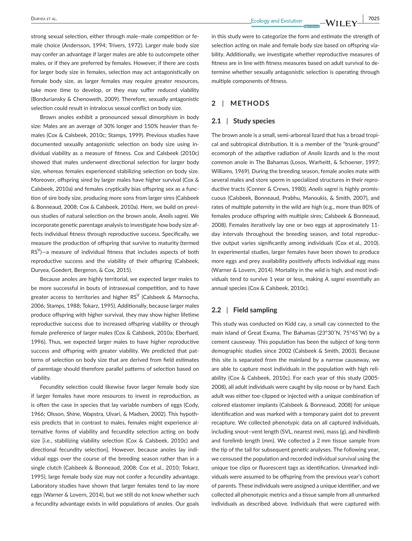strong sexual selection, either through male–male competition or female choice (Andersson, 1994; Trivers, 1972). Larger male body size may confer an advantage if larger males are able to outcompete other males, or if they are preferred by females. However, if there are costs for larger body size in females, selection may act antagonistically on female body size, as larger females may require greater resources, take more time to develop, or they may suffer reduced viability (Bonduriansky & Chenoweth, 2009). Therefore, sexually antagonistic selection could result in intralocus sexual conflict on body size.

Brown anoles exhibit a pronounced sexual dimorphism in body size: Males are an average of 30% longer and 150% heavier than females (Cox & Calsbeek, 2010c; Stamps, 1999). Previous studies have documented sexually antagonistic selection on body size using individual viability as a measure of fitness. Cox and Calsbeek (2010c) showed that males underwent directional selection for larger body size, whereas females experienced stabilizing selection on body size. Moreover, offspring sired by larger males have higher survival (Cox & Calsbeek, 2010a) and females cryptically bias offspring sex as a function of sire body size, producing more sons from larger sires (Calsbeek & Bonneaud, 2008; Cox & Calsbeek, 2010a). Here, we build on previous studies of natural selection on the brown anole, *Anolis sagrei.* We incorporate genetic parentage analysis to investigate how body size affects individual fitness through reproductive success. Specifically, we measure the production of offspring that survive to maturity (termed  $RS<sup>V</sup>$ )—a measure of individual fitness that includes aspects of both reproductive success and the viability of their offspring (Calsbeek, Duryea, Goedert, Bergeron, & Cox, 2015).

Because anoles are highly territorial, we expected larger males to be more successful in bouts of intrasexual competition, and to have greater access to territories and higher  $RS<sup>V</sup>$  (Calsbeek & Marnocha, 2006; Stamps, 1988; Tokarz, 1995). Additionally, because larger males produce offspring with higher survival, they may show higher lifetime reproductive success due to increased offspring viability or through female preference of larger males (Cox & Calsbeek, 2010a; Eberhard, 1996). Thus, we expected larger males to have higher reproductive success and offspring with greater viability. We predicted that patterns of selection on body size that are derived from field estimates of parentage should therefore parallel patterns of selection based on viability.

Fecundity selection could likewise favor larger female body size if larger females have more resources to invest in reproduction, as is often the case in species that lay variable numbers of eggs (Cody, 1966; Olsson, Shine, Wapstra, Uivari, & Madsen, 2002). This hypothesis predicts that in contrast to males, females might experience alternative forms of viability and fecundity selection acting on body size [i.e., stabilizing viability selection (Cox & Calsbeek, 2010c) and directional fecundity selection]. However, because anoles lay individual eggs over the course of the breeding season rather than in a single clutch (Calsbeek & Bonneaud, 2008; Cox et al., 2010; Tokarz, 1995), large female body size may not confer a fecundity advantage. Laboratory studies have shown that larger females tend to lay more eggs (Warner & Lovern, 2014), but we still do not know whether such a fecundity advantage exists in wild populations of anoles. Our goals in this study were to categorize the form and estimate the strength of selection acting on male and female body size based on offspring viability. Additionally, we investigate whether reproductive measures of fitness are in line with fitness measures based on adult survival to determine whether sexually antagonistic selection is operating through multiple components of fitness.

### **2** | **METHODS**

#### **2.1** | **Study species**

The brown anole is a small, semi-arboreal lizard that has a broad tropical and subtropical distribution. It is a member of the "trunk-ground" ecomorph of the adaptive radiation of *Anolis* lizards and is the most common anole in The Bahamas (Losos, Warheitt, & Schoener, 1997; Williams, 1969). During the breeding season, female anoles mate with several males and store sperm in specialized structures in their reproductive tracts (Conner & Crews, 1980). *Anolis sagrei* is highly promiscuous (Calsbeek, Bonneaud, Prabhu, Manoukis, & Smith, 2007), and rates of multiple paternity in the wild are high (e.g., more than 80% of females produce offspring with multiple sires; Calsbeek & Bonneaud, 2008). Females iteratively lay one or two eggs at approximately 11 day intervals throughout the breeding season, and total reproductive output varies significantly among individuals (Cox et al., 2010). In experimental studies, larger females have been shown to produce more eggs and prey availability positively affects individual egg mass (Warner & Lovern, 2014). Mortality in the wild is high, and most individuals tend to survive 1 year or less, making *A. sagrei* essentially an annual species (Cox & Calsbeek, 2010c).

### **2.2** | **Field sampling**

This study was conducted on Kidd cay, a small cay connected to the main island of Great Exuma, The Bahamas (23°30′N, 75°45′W) by a cement causeway. This population has been the subject of long-term demographic studies since 2002 (Calsbeek & Smith, 2003). Because this site is separated from the mainland by a narrow causeway, we are able to capture most individuals in the population with high reliability (Cox & Calsbeek, 2010c). For each year of this study (2005- 2008), all adult individuals were caught by slip noose or by hand. Each adult was either toe-clipped or injected with a unique combination of colored elastomer implants (Calsbeek & Bonneaud, 2008) for unique identification and was marked with a temporary paint dot to prevent recapture. We collected phenotypic data on all captured individuals, including snout–vent length (SVL, nearest mm), mass (g), and hindlimb and forelimb length (mm). We collected a 2 mm tissue sample from the tip of the tail for subsequent genetic analyses. The following year, we censused the population and recorded individual survival using the unique toe clips or fluorescent tags as identification. Unmarked individuals were assumed to be offspring from the previous year's cohort of parents. These individuals were assigned a unique identifier, and we collected all phenotypic metrics and a tissue sample from all unmarked individuals as described above. Individuals that were captured with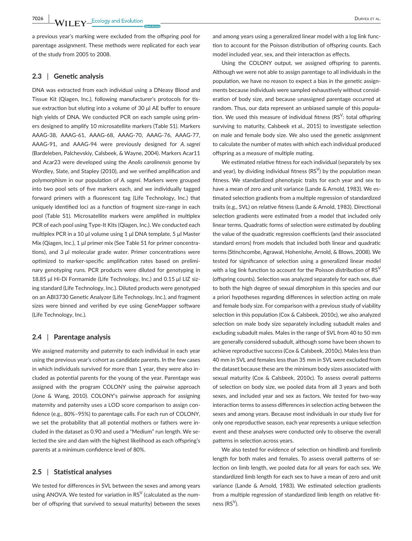**7026 MILLOW EX** Ecology and Evolution *COLOREY CONSTRUCTER EX* 

a previous year's marking were excluded from the offspring pool for parentage assignment. These methods were replicated for each year of the study from 2005 to 2008.

#### **2.3** | **Genetic analysis**

DNA was extracted from each individual using a DNeasy Blood and Tissue Kit (Qiagen, Inc.), following manufacturer's protocols for tissue extraction but eluting into a volume of 30 μl AE buffer to ensure high yields of DNA. We conducted PCR on each sample using primers designed to amplify 10 microsatellite markers (Table S1). Markers AAAG-38, AAAG-61, AAAG-68, AAAG-70, AAAG-76, AAAG-77, AAAG-91, and AAAG-94 were previously designed for *A. sagrei* (Bardeleben, Palchevskiy, Calsbeek, & Wayne, 2004). Markers Acar11 and Acar23 were developed using the *Anolis carolinensis* genome by Wordley, Slate, and Stapley (2010), and we verified amplification and polymorphism in our population of *A. sagrei*. Markers were grouped into two pool sets of five markers each, and we individually tagged forward primers with a fluorescent tag (Life Technology, Inc.) that uniquely identified loci as a function of fragment size-range in each pool (Table S1). Microsatellite markers were amplified in multiplex PCR of each pool using Type-It Kits (Qiagen, Inc.). We conducted each multiplex PCR in a 10 μl volume using 1 μl DNA template, 5 μl Master Mix (Qiagen, Inc.), 1 μl primer mix (See Table S1 for primer concentrations), and 3 μl molecular grade water. Primer concentrations were optimized to marker-specific amplification rates based on preliminary genotyping runs. PCR products were diluted for genotyping in 18.85 μl Hi-Di Formamide (Life Technology, Inc.) and 0.15 μl LIZ sizing standard (Life Technology, Inc.). Diluted products were genotyped on an ABI3730 Genetic Analyzer (Life Technology, Inc.), and fragment sizes were binned and verified by eye using GeneMapper software (Life Technology, Inc.).

#### **2.4** | **Parentage analysis**

We assigned maternity and paternity to each individual in each year using the previous year's cohort as candidate parents. In the few cases in which individuals survived for more than 1 year, they were also included as potential parents for the young of the year. Parentage was assigned with the program COLONY using the pairwise approach (Jone & Wang, 2010). COLONY's pairwise approach for assigning maternity and paternity uses a LOD score comparison to assign confidence (e.g., 80%–95%) to parentage calls. For each run of COLONY, we set the probability that all potential mothers or fathers were included in the dataset as 0.90 and used a "Medium" run length. We selected the sire and dam with the highest likelihood as each offspring's parents at a minimum confidence level of 80%.

#### **2.5** | **Statistical analyses**

We tested for differences in SVL between the sexes and among years using ANOVA. We tested for variation in  $RS<sup>V</sup>$  (calculated as the number of offspring that survived to sexual maturity) between the sexes and among years using a generalized linear model with a log link function to account for the Poisson distribution of offspring counts. Each model included year, sex, and their interaction as effects.

Using the COLONY output, we assigned offspring to parents. Although we were not able to assign parentage to all individuals in the population, we have no reason to expect a bias in the genetic assignments because individuals were sampled exhaustively without consideration of body size, and because unassigned parentage occurred at random. Thus, our data represent an unbiased sample of this population. We used this measure of individual fitness ( $RS<sup>V</sup>$ : total offspring surviving to maturity, Calsbeek et al., 2015) to investigate selection on male and female body size. We also used the genetic assignment to calculate the number of mates with which each individual produced offspring as a measure of multiple mating.

We estimated relative fitness for each individual (separately by sex and year), by dividing individual fitness  $(RS^{V})$  by the population mean fitness. We standardized phenotypic traits for each year and sex to have a mean of zero and unit variance (Lande & Arnold, 1983). We estimated selection gradients from a multiple regression of standardized traits (e.g., SVL) on relative fitness (Lande & Arnold, 1983). Directional selection gradients were estimated from a model that included only linear terms. Quadratic forms of selection were estimated by doubling the value of the quadratic regression coefficients (and their associated standard errors) from models that included both linear and quadratic terms (Stinchcombe, Agrawal, Hohenlohe, Arnold, & Blows, 2008). We tested for significance of selection using a generalized linear model with a log link function to account for the Poisson distribution of  $RS<sup>V</sup>$ (offspring counts). Selection was analyzed separately for each sex, due to both the high degree of sexual dimorphism in this species and our a priori hypotheses regarding differences in selection acting on male and female body size. For comparison with a previous study of viability selection in this population (Cox & Calsbeek, 2010c), we also analyzed selection on male body size separately including subadult males and excluding subadult males. Males in the range of SVL from 40 to 50 mm are generally considered subadult, although some have been shown to achieve reproductive success (Cox & Calsbeek, 2010c). Males less than 40 mm in SVL and females less than 35 mm in SVL were excluded from the dataset because these are the minimum body sizes associated with sexual maturity (Cox & Calsbeek, 2010c). To assess overall patterns of selection on body size, we pooled data from all 3 years and both sexes, and included year and sex as factors. We tested for two-way interaction terms to assess differences in selection acting between the sexes and among years. Because most individuals in our study live for only one reproductive season, each year represents a unique selection event and these analyses were conducted only to observe the overall patterns in selection across years.

We also tested for evidence of selection on hindlimb and forelimb length for both males and females. To assess overall patterns of selection on limb length, we pooled data for all years for each sex. We standardized limb length for each sex to have a mean of zero and unit variance (Lande & Arnold, 1983). We estimated selection gradients from a multiple regression of standardized limb length on relative fitness  $(RS<sup>V</sup>)$ .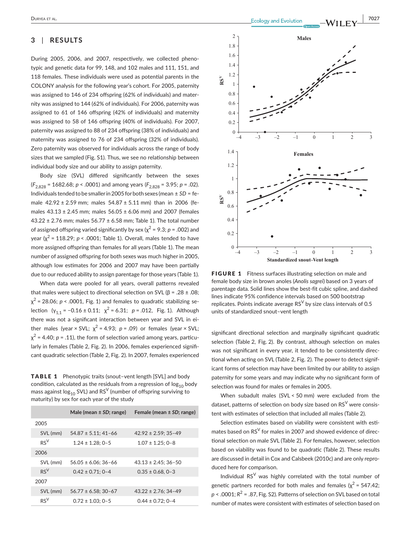## **3** | **RESULTS**

During 2005, 2006, and 2007, respectively, we collected phenotypic and genetic data for 99, 148, and 102 males and 111, 151, and 118 females. These individuals were used as potential parents in the COLONY analysis for the following year's cohort. For 2005, paternity was assigned to 146 of 234 offspring (62% of individuals) and maternity was assigned to 144 (62% of individuals). For 2006, paternity was assigned to 61 of 146 offspring (42% of individuals) and maternity was assigned to 58 of 146 offspring (40% of individuals). For 2007, paternity was assigned to 88 of 234 offspring (38% of individuals) and maternity was assigned to 76 of 234 offspring (32% of individuals). Zero paternity was observed for individuals across the range of body sizes that we sampled (Fig. S1). Thus, we see no relationship between individual body size and our ability to assign paternity.

Body size (SVL) differed significantly between the sexes  $(F_{2,828} = 1682.68; p < .0001)$  and among years  $(F_{2,828} = 3.95; p = .02)$ . Individuals tended to be smaller in 2005 for both sexes (mean ± *SD* = female  $42.92 \pm 2.59$  mm; males  $54.87 \pm 5.11$  mm) than in 2006 (females 43.13 ± 2.45 mm; males 56.05 ± 6.06 mm) and 2007 (females 43.22  $\pm$  2.76 mm; males 56.77  $\pm$  6.58 mm; Table 1). The total number of assigned offspring varied significantly by sex  $(\chi^2 = 9.3; p = .002)$  and year  $(x^2 = 118.29$ ;  $p < .0001$ ; Table 1). Overall, males tended to have more assigned offspring than females for all years (Table 1). The mean number of assigned offspring for both sexes was much higher in 2005, although low estimates for 2006 and 2007 may have been partially due to our reduced ability to assign parentage for those years (Table 1).

When data were pooled for all years, overall patterns revealed that males were subject to directional selection on SVL (β = .28 ± .08;  $\chi^2$  = 28.06; *p* < .0001, Fig. 1) and females to quadratic stabilizing selection (γ<sub>1,1</sub> = −0.16 ± 0.11;  $χ² = 6.31$ ; *p* = .012, Fig. 1). Although there was not a significant interaction between year and SVL in either males (year × SVL;  $\chi^2$  = 4.93;  $p$  = .09) or females (year × SVL;  $\chi^2$  = 4.40; *p* = .11), the form of selection varied among years, particularly in females (Table 2, Fig. 2). In 2006, females experienced significant quadratic selection (Table 2, Fig. 2). In 2007, females experienced

TABLE 1 Phenotypic traits (snout–vent length [SVL] and body condition, calculated as the residuals from a regression of  $log<sub>10</sub>$  body mass against  $log_{10}$  SVL) and RS<sup>V</sup> (number of offspring surviving to maturity) by sex for each year of the study

|          | Male (mean $\pm$ SD; range) | Female (mean $\pm$ SD; range) |  |  |  |  |
|----------|-----------------------------|-------------------------------|--|--|--|--|
| 2005     |                             |                               |  |  |  |  |
| SVL (mm) | $54.87 \pm 5.11$ ; 41-66    | $42.92 \pm 2.59$ ; 35-49      |  |  |  |  |
| $RS^V$   | $1.24 \pm 1.28$ ; 0-5       | $1.07 \pm 1.25$ ; 0-8         |  |  |  |  |
| 2006     |                             |                               |  |  |  |  |
| SVL (mm) | $56.05 \pm 6.06$ : 36-66    | $43.13 \pm 2.45$ ; 36-50      |  |  |  |  |
| $RS^V$   | $0.42 \pm 0.71$ : 0-4       | $0.35 \pm 0.68$ , 0-3         |  |  |  |  |
| 2007     |                             |                               |  |  |  |  |
| SVL (mm) | $56.77 \pm 6.58$ ; 30-67    | $43.22 \pm 2.76$ ; 34-49      |  |  |  |  |
| $RS^V$   | $0.72 \pm 1.03$ : 0-5       | $0.44 \pm 0.72$ : 0-4         |  |  |  |  |



FIGURE 1 Fitness surfaces illustrating selection on male and female body size in brown anoles (*Anolis sagrei*) based on 3 years of parentage data. Solid lines show the best-fit cubic spline, and dashed lines indicate 95% confidence intervals based on 500 bootstrap replicates. Points indicate average  $RS<sup>V</sup>$  by size class intervals of 0.5 units of standardized snout–vent length

significant directional selection and marginally significant quadratic selection (Table 2, Fig. 2). By contrast, although selection on males was not significant in every year, it tended to be consistently directional when acting on SVL (Table 2, Fig. 2). The power to detect significant forms of selection may have been limited by our ability to assign paternity for some years and may indicate why no significant form of selection was found for males or females in 2005.

When subadult males (SVL < 50 mm) were excluded from the dataset, patterns of selection on body size based on  $RS<sup>V</sup>$  were consistent with estimates of selection that included all males (Table 2).

Selection estimates based on viability were consistent with estimates based on  $RS^V$  for males in 2007 and showed evidence of directional selection on male SVL (Table 2). For females, however, selection based on viability was found to be quadratic (Table 2). These results are discussed in detail in Cox and Calsbeek (2010c) and are only reproduced here for comparison.

Individual  $RS<sup>V</sup>$  was highly correlated with the total number of genetic partners recorded for both males and females ( $\chi^2$  = 547.42;  $p \le 0.0001$ ;  $R^2 = 0.87$ , Fig. S2). Patterns of selection on SVL based on total number of mates were consistent with estimates of selection based on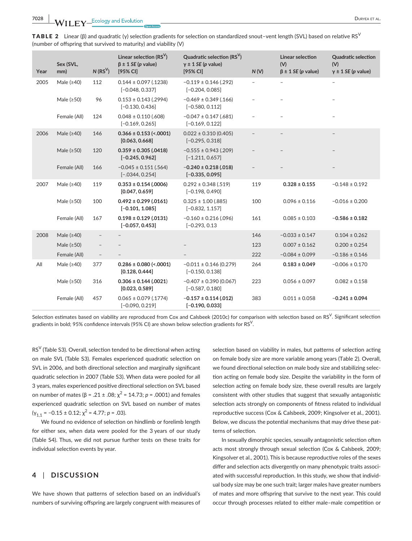| Year | Sex (SVL,<br>mm) | N(RS <sup>V</sup> )      | Linear selection ( $RSV$ )<br>$\beta \pm 1$ SE (p value)<br>$[95%$ CI] | Quadratic selection (RS <sup>V</sup> )<br>$y \pm 1$ SE (p value)<br>$[95%$ CI] | N(V) | <b>Linear selection</b><br>(V)<br>$\beta \pm 1$ SE (p value) | <b>Quadratic selection</b><br>(V)<br>$y \pm 1$ SE (p value) |
|------|------------------|--------------------------|------------------------------------------------------------------------|--------------------------------------------------------------------------------|------|--------------------------------------------------------------|-------------------------------------------------------------|
| 2005 | Male $(≥40)$     | 112                      | $0.144 \pm 0.097$ (.1238)<br>$[-0.048, 0.337]$                         | $-0.119 \pm 0.146$ (.292)<br>$[-0.204, 0.085]$                                 |      |                                                              |                                                             |
|      | Male $(≥50)$     | 96                       | $0.153 \pm 0.143$ (.2994)<br>$[-0.130, 0.436]$                         | $-0.469 \pm 0.349$ (.166)<br>$[-0.580, 0.112]$                                 |      |                                                              |                                                             |
|      | Female (All)     | 124                      | $0.048 \pm 0.110$ (.608)<br>$[-0.169, 0.265]$                          | $-0.047 \pm 0.147$ (.681)<br>$[-0.169, 0.122]$                                 |      |                                                              |                                                             |
| 2006 | Male $(≥40)$     | 146                      | $0.366 \pm 0.153$ (<.0001)<br>[0.063, 0.668]                           | $0.022 \pm 0.310$ (0.405)<br>$[-0.295, 0.318]$                                 |      |                                                              |                                                             |
|      | Male $(≥50)$     | 120                      | $0.359 \pm 0.305$ (.0418)<br>$[-0.245, 0.962]$                         | $-0.555 \pm 0.943$ (.209)<br>$[-1.211, 0.657]$                                 |      |                                                              |                                                             |
|      | Female (All)     | 166                      | $-0.045 \pm 0.151$ (.564)<br>$[-.0344, 0.254]$                         | $-0.240 \pm 0.218$ (.018)<br>$[-0.335, 0.095]$                                 |      |                                                              |                                                             |
| 2007 | Male $(≥40)$     | 119                      | $0.353 \pm 0.154$ (.0006)<br>[0.047, 0.659]                            | $0.292 \pm 0.348$ (.519)<br>$[-0.198, 0.490]$                                  | 119  | $0.328 \pm 0.155$                                            | $-0.148 \pm 0.192$                                          |
|      | Male $(≥50)$     | 100                      | $0.492 \pm 0.299$ (.0161)<br>$[-0.101, 1.085]$                         | $0.325 \pm 1.00$ (.885)<br>$[-0.832, 1.157]$                                   | 100  | $0.096 \pm 0.116$                                            | $-0.016 \pm 0.200$                                          |
|      | Female (All)     | 167                      | $0.198 \pm 0.129$ (.0131)<br>$[-0.057, 0.453]$                         | $-0.160 \pm 0.216$ (.096)<br>$[-0.293, 0.13]$                                  | 161  | $0.085 \pm 0.103$                                            | $-0.586 \pm 0.182$                                          |
| 2008 | Male $(≥40)$     |                          |                                                                        |                                                                                | 146  | $-0.033 \pm 0.147$                                           | $0.104 \pm 0.262$                                           |
|      | Male $(≥50)$     | $\qquad \qquad -$        |                                                                        |                                                                                | 123  | $0.007 \pm 0.162$                                            | $0.200 \pm 0.254$                                           |
|      | Female (All)     | $\overline{\phantom{a}}$ | $\overline{\phantom{a}}$                                               |                                                                                | 222  | $-0.084 \pm 0.099$                                           | $-0.186 \pm 0.146$                                          |
| All  | Male $(≥40)$     | 377                      | $0.286 \pm 0.080$ (<.0001)<br>[0.128, 0.444]                           | $-0.011 \pm 0.146$ (0.279)<br>$[-0.150, 0.138]$                                | 264  | $0.183 \pm 0.049$                                            | $-0.006 \pm 0.170$                                          |
|      | Male $(≥50)$     | 316                      | $0.306 \pm 0.144$ (.0021)<br>[0.023, 0.589]                            | $-0.407 \pm 0.390 (0.067)$<br>$[-0.587, 0.180]$                                | 223  | $0.056 \pm 0.097$                                            | $0.082 \pm 0.158$                                           |
|      | Female (All)     | 457                      | $0.065 \pm 0.079$ (.1774)<br>$[-0.090, 0.219]$                         | $-0.157 \pm 0.114$ (.012)<br>$[-0.190, 0.033]$                                 | 383  | $0.011 \pm 0.058$                                            | $-0.241 \pm 0.094$                                          |

**TABLE 2** Linear (β) and quadratic (γ) selection gradients for selection on standardized snout–vent length (SVL) based on relative RS<sup>V</sup> (number of offspring that survived to maturity) and viability (V)

Selection estimates based on viability are reproduced from Cox and Calsbeek (2010c) for comparison with selection based on RS<sup>V</sup>. Significant selection gradients in bold; 95% confidence intervals (95% CI) are shown below selection gradients for  $RS^V$ .

 $RS<sup>V</sup>$  (Table S3). Overall, selection tended to be directional when acting on male SVL (Table S3). Females experienced quadratic selection on SVL in 2006, and both directional selection and marginally significant quadratic selection in 2007 (Table S3). When data were pooled for all 3 years, males experienced positive directional selection on SVL based on number of mates (β = .21 ± .08;  $\chi^2$  = 14.73; *p* = .0001) and females experienced quadratic selection on SVL based on number of mates  $(\gamma_{1,1} = -0.15 \pm 0.12; \chi^2 = 4.77; p = .03).$ 

We found no evidence of selection on hindlimb or forelimb length for either sex, when data were pooled for the 3 years of our study (Table S4). Thus, we did not pursue further tests on these traits for individual selection events by year.

## **4** | **DISCUSSION**

We have shown that patterns of selection based on an individual's numbers of surviving offspring are largely congruent with measures of

selection based on viability in males, but patterns of selection acting on female body size are more variable among years (Table 2). Overall, we found directional selection on male body size and stabilizing selection acting on female body size. Despite the variability in the form of selection acting on female body size, these overall results are largely consistent with other studies that suggest that sexually antagonistic selection acts strongly on components of fitness related to individual reproductive success (Cox & Calsbeek, 2009; Kingsolver et al., 2001). Below, we discuss the potential mechanisms that may drive these patterns of selection.

In sexually dimorphic species, sexually antagonistic selection often acts most strongly through sexual selection (Cox & Calsbeek, 2009; Kingsolver et al., 2001). This is because reproductive roles of the sexes differ and selection acts divergently on many phenotypic traits associated with successful reproduction. In this study, we show that individual body size may be one such trait; larger males have greater numbers of mates and more offspring that survive to the next year. This could occur through processes related to either male–male competition or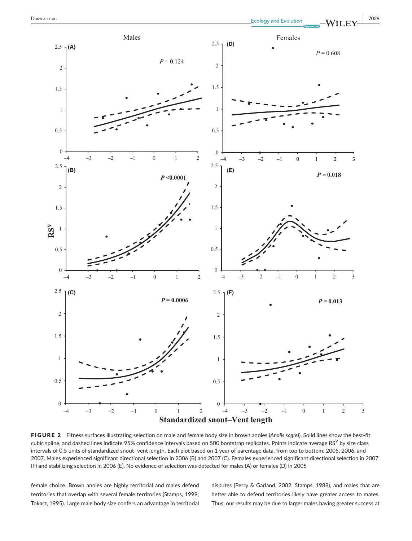

FIGURE 2 Fitness surfaces illustrating selection on male and female body size in brown anoles (*Anolis sagrei*). Solid lines show the best-fit cubic spline, and dashed lines indicate 95% confidence intervals based on 500 bootstrap replicates. Points indicate average RS<sup>V</sup> by size class intervals of 0.5 units of standardized snout–vent length. Each plot based on 1 year of parentage data, from top to bottom: 2005, 2006, and 2007. Males experienced significant directional selection in 2006 (B) and 2007 (C). Females experienced significant directional selection in 2007 (F) and stabilizing selection in 2006 (E). No evidence of selection was detected for males (A) or females (D) in 2005

female choice. Brown anoles are highly territorial and males defend territories that overlap with several female territories (Stamps, 1999; Tokarz, 1995). Large male body size confers an advantage in territorial

disputes (Perry & Garland, 2002; Stamps, 1988), and males that are better able to defend territories likely have greater access to mates. Thus, our results may be due to larger males having greater success at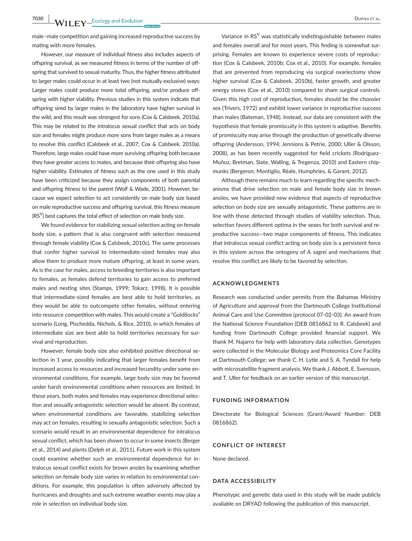**7030 NVII EV** Ecology and Evolution **and Experiment Construction** DURYEA ET AL.

male–male competition and gaining increased reproductive success by mating with more females.

However, our measure of individual fitness also includes aspects of offspring survival, as we measured fitness in terms of the number of offspring that survived to sexual maturity. Thus, the higher fitness attributed to larger males could occur in at least two (not mutually exclusive) ways: Larger males could produce more total offspring, and/or produce offspring with higher viability. Previous studies in this system indicate that offspring sired by larger males in the laboratory have higher survival in the wild, and this result was strongest for sons (Cox & Calsbeek, 2010a). This may be related to the intralocus sexual conflict that acts on body size and females might produce more sons from larger males as a means to resolve this conflict (Calsbeek et al., 2007; Cox & Calsbeek, 2010a). Therefore, large males could have more surviving offspring both because they have greater access to mates, and because their offspring also have higher viability. Estimates of fitness such as the one used in this study have been criticized because they assign components of both parental and offspring fitness to the parent (Wolf & Wade, 2001). However, because we expect selection to act consistently on male body size based on male reproductive success and offspring survival, this fitness measure  $(RS<sup>V</sup>)$  best captures the total effect of selection on male body size.

We found evidence for stabilizing sexual selection acting on female body size, a pattern that is also congruent with selection measured through female viability (Cox & Calsbeek, 2010c). The same processes that confer higher survival to intermediate-sized females may also allow them to produce more mature offspring, at least in some years. As is the case for males, access to breeding territories is also important to females, as females defend territories to gain access to preferred males and nesting sites (Stamps, 1999; Tokarz, 1998). It is possible that intermediate-sized females are best able to hold territories, as they would be able to outcompete other females, without entering into resource competition with males. This would create a "Goldilocks" scenario (Long, Pischedda, Nichols, & Rice, 2010), in which females of intermediate size are best able to hold territories necessary for survival and reproduction.

However, female body size also exhibited positive directional selection in 1 year, possibly indicating that larger females benefit from increased access to resources and increased fecundity under some environmental conditions. For example, large body size may be favored under harsh environmental conditions when resources are limited. In these years, both males and females may experience directional selection and sexually antagonistic selection would be absent. By contrast, when environmental conditions are favorable, stabilizing selection may act on females, resulting in sexually antagonistic selection. Such a scenario would result in an environmental dependence for intralocus sexual conflict, which has been shown to occur in some insects (Berger et al., 2014) and plants (Delph et al., 2011). Future work in this system could examine whether such an environmental dependence for intralocus sexual conflict exists for brown anoles by examining whether selection on female body size varies in relation to environmental conditions. For example, this population is often adversely affected by hurricanes and droughts and such extreme weather events may play a role in selection on individual body size.

Variance in  $RS^V$  was statistically indistinguishable between males and females overall and for most years. This finding is somewhat surprising. Females are known to experience severe costs of reproduction (Cox & Calsbeek, 2010b; Cox et al., 2010). For example, females that are prevented from reproducing via surgical ovariectomy show higher survival (Cox & Calsbeek, 2010b), faster growth, and greater energy stores (Cox et al., 2010) compared to sham surgical controls. Given this high cost of reproduction, females should be the choosier sex (Trivers, 1972) and exhibit lower variance in reproductive success than males (Bateman, 1948). Instead, our data are consistent with the hypothesis that female promiscuity in this system is adaptive. Benefits of promiscuity may arise through the production of genetically diverse offspring (Andersson, 1994; Jennions & Petrie, 2000; Uller & Olsson, 2008), as has been recently suggested for field crickets (Rodríguez-Muñoz, Bretman, Slate, Walling, & Tregenza, 2010) and Eastern chipmunks (Bergeron, Montiglio, Réale, Humphries, & Garant, 2012).

Although there remains much to learn regarding the specific mechanisms that drive selection on male and female body size in brown anoles, we have provided new evidence that aspects of reproductive selection on body size are sexually antagonistic. These patterns are in line with those detected through studies of viability selection. Thus, selection favors different optima in the sexes for both survival and reproductive success—two major components of fitness. This indicates that intralocus sexual conflict acting on body size is a persistent force in this system across the ontogeny of *A. sagrei* and mechanisms that resolve this conflict are likely to be favored by selection.

#### **ACKNOWLEDGMENTS**

Research was conducted under permits from the Bahamas Ministry of Agriculture and approval from the Dartmouth College Institutional Animal Care and Use Committee (protocol 07-02-03). An award from the National Science Foundation (DEB 0816862 to R. Calsbeek) and funding from Dartmouth College provided financial support. We thank M. Najarro for help with laboratory data collection. Genotypes were collected in the Molecular Biology and Proteomics Core Facility at Dartmouth College; we thank C. H. Lytle and S. A. Tyndall for help with microsatellite fragment analysis. We thank J. Abbott, E. Svensson, and T. Uller for feedback on an earlier version of this manuscript.

#### **FUNDING INFORMATION**

Directorate for Biological Sciences (Grant/Award Number: DEB 0816862).

#### **CONFLICT OF INTEREST**

None declared.

#### **DATA ACCESSIBILITY**

Phenotypic and genetic data used in this study will be made publicly available on DRYAD following the publication of this manuscript.